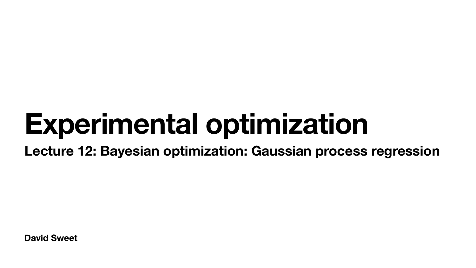**David Sweet**

# **Experimental optimization Lecture 12: Bayesian optimization: Gaussian process regression**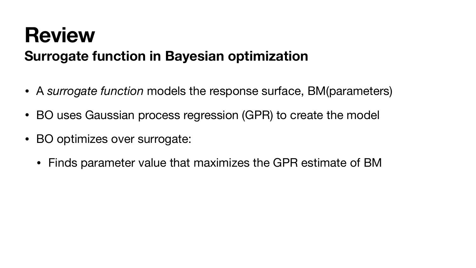# **Review Surrogate function in Bayesian optimization**

- A *surrogate function* models the response surface, BM(parameters)
- BO uses Gaussian process regression (GPR) to create the model
- BO optimizes over surrogate:
	- Finds parameter value that maximizes the GPR estimate of BM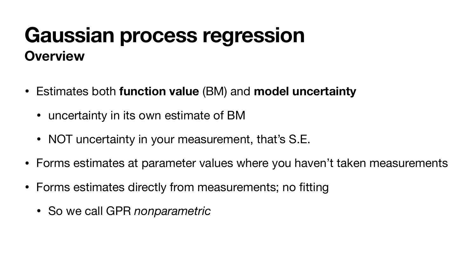#### **Gaussian process regression Overview**

- Estimates both **function value** (BM) and **model uncertainty**
	- uncertainty in its own estimate of BM
	- NOT uncertainty in your measurement, that's S.E.
- Forms estimates at parameter values where you haven't taken measurements
- Forms estimates directly from measurements; no fitting
	- So we call GPR *nonparametric*

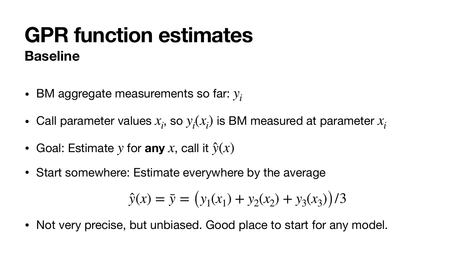#### **GPR function estimates Baseline**

- BM aggregate measurements so far: *yi*
- Call parameter values  $x_i$ , so  $y_i(x_i)$  is BM measured at parameter  $x_i$
- Goal: Estimate  $y$  for any  $x$ , call it  $\hat{y}(x)$
- Start somewhere: Estimate everywhere by the average

• Not very precise, but unbiased. Good place to start for any model.

 $(x_1) + y_2(x_2) + y_3(x_3)$ )/3

$$
\hat{y}(x) = \bar{y} = (y_1(x))
$$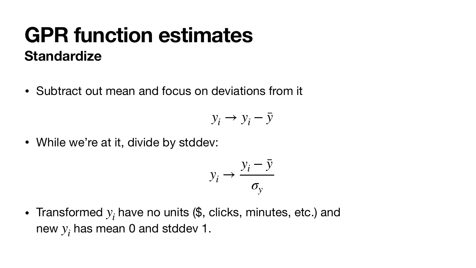• Subtract out mean and focus on deviations from it

- While we're at it, divide by stddev:
	- $y_i$
- Transformed  $y_i$  have no units  $(\$, \text{ clicks}, \text{minutes}, \text{etc.})$  and new  $y_i$  has mean 0 and stddev 1.

# **Standardize GPR function estimates**

$$
y_i \rightarrow y_i - \bar{y}
$$
  
\n
$$
y_i \rightarrow \frac{y_i - \bar{y}}{\sigma_y}
$$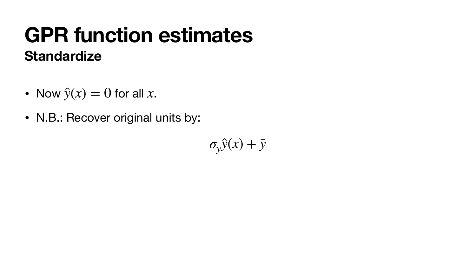- Now  $\hat{y}(x) = 0$  for all  $x$ .
- N.B.: Recover original units by:



 $\sigma_y \hat{y}(x) + \bar{y}$ 

# **GPR function estimates Standardize**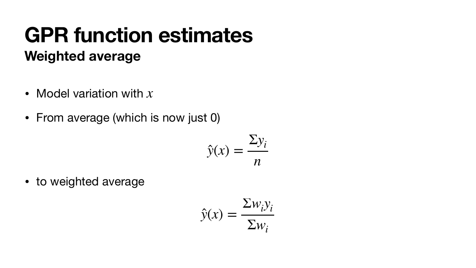- Model variation with *x*
- From average (which is now just 0)

 $\sum w_i y_i$ Σ*wi*

# **Weighted average GPR function estimates**

• to weighted average

 $\hat{y}(x) =$ 

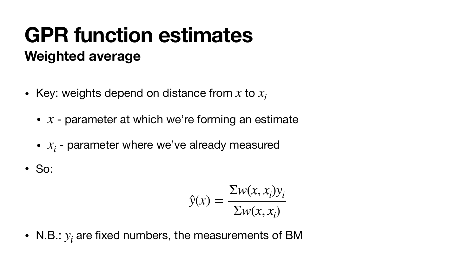- Key: weights depend on distance from  $x$  to  $x_i$ 
	- $x$  parameter at which we're forming an estimate
	- $x_i$  parameter where we've already measured
- So:

$$
\hat{y}(x) =
$$

• N.B.:  $y_i$  are fixed numbers, the measurements of BM

$$
\frac{\sum w(x, x_i) y_i}{\sum w(x, x_i)}
$$

# **GPR function estimates Weighted average**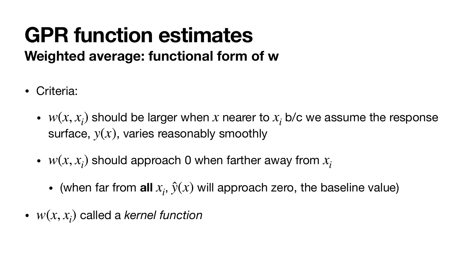# **GPR function estimates Weighted average: functional form of w**

- Criteria:
	- $w(x, x_i)$  should be larger when x nearer to  $x_i$  b/c we assume the response surface,  $y(x)$ , varies reasonably smoothly
	- $w(x, x_i)$  should approach 0 when farther away from  $x_i$ 
		- (when far from all  $x_i$ ,  $\hat{y}(x)$  will approach zero, the baseline value)
- $w(x, x_i)$  called a *kernel function*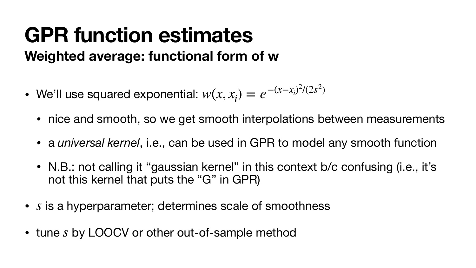$$
,x_i)=e^{-(x-x_i)^2/(2s^2)}
$$

• nice and smooth, so we get smooth interpolations between measurements

# **GPR function estimates Weighted average: functional form of w**

- We'll use squared exponential:  $w(x, x_i)$ 
	-
	- a *universal kernel*, i.e., can be used in GPR to model any smooth function
	- N.B.: not calling it "gaussian kernel" in this context b/c confusing (i.e., it's not this kernel that puts the "G" in GPR)
- is a hyperparameter; determines scale of smoothness *s*
- tune s by LOOCV or other out-of-sample method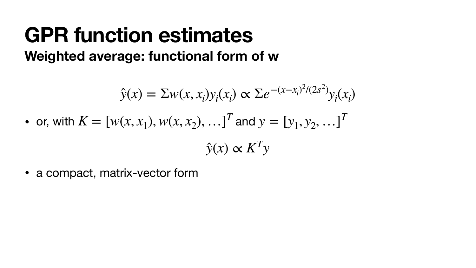$\sum e^{-(x-x_i)^2/(2s^2)}$  $y_i(x_i)$ *y*(̂ *x*) ∝ *KTy*

• a compact, matrix-vector form

# **GPR function estimates Weighted average: functional form of w**

- $\hat{y}(x) = \sum w(x, x_i) y_i(x_i)$
- or, with  $K = [w(x, x_1), w(x, x_2), ...]^T$  and  $y = [y_1, y_2, ...]^T$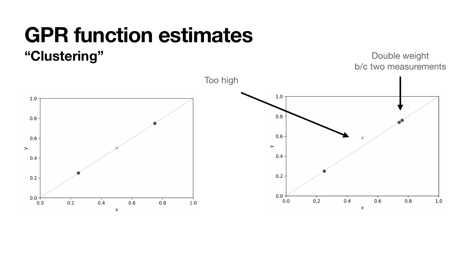# **"Clustering" GPR function estimates**

 $1.0$  $0.8$  $0.6$  $\rightarrow$  $0.4$  $0.2$  $0.0 0.2$  $0.4$  $0.6$  $0.8$  $0.0$  $1.0$  $\times$ 

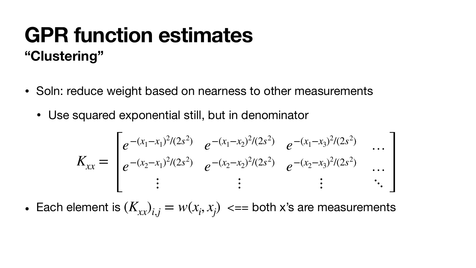- Soln: reduce weight based on nearness to other measurements
	- Use squared exponential still, but in denominator

$$
K_{xx} = \begin{bmatrix} e^{-(x_1 - x_1)^2/(2s^2)} & e^{-(x_2 - x_1)^2/(2s^2)} & e^{-(x_2 - x_1)^2/(2s^2)} & e^{-(x_2 - x_1)^2/(2s^2)} & e^{-(x_2 - x_1)^2/(2s^2)} & e^{-(x_2 - x_1)^2/(2s^2)} & e^{-(x_2 - x_1)^2/(2s^2)} & e^{-(x_2 - x_1)^2/(2s^2)} & e^{-(x_2 - x_1)^2/(2s^2)} & e^{-(x_2 - x_1)^2/(2s^2)} & e^{-(x_2 - x_1)^2/(2s^2)} & e^{-(x_2 - x_1)^2/(2s^2)} & e^{-(x_2 - x_1)^2/(2s^2)} & e^{-(x_2 - x_1)^2/(2s^2)} & e^{-(x_2 - x_1)^2/(2s^2)} & e^{-(x_2 - x_1)^2/(2s^2)} & e^{-(x_2 - x_1)^2/(2s^2)} & e^{-(x_2 - x_1)^2/(2s^2)} & e^{-(x_2 - x_1)^2/(2s^2)} & e^{-(x_2 - x_1)^2/(2s^2)} & e^{-(x_2 - x_1)^2/(2s^2)} & e^{-(x_2 - x_1)^2/(2s^2)} & e^{-(x_2 - x_1)^2/(2s^2)} & e^{-(x_2 - x_1)^2/(2s^2)} & e^{-(x_2 - x_1)^2/(2s^2)} & e^{-(x_2 - x_1)^2/(2s^2)} & e^{-(x_2 - x_1)^2/(2s^2)} & e^{-(x_2 - x_1)^2/(2s^2)} & e^{-(x_2 - x_1)^2/(2s^2)} & e^{-(x_2 - x_1)^2/(2s^2)} & e^{-(x_2 - x_1)^2/(2s^2)} & e^{-(x_2 - x_1)^2/(2s^2)} & e^{-(x_2 - x_1)^2/(2s^2)} & e^{-(x_2 - x_1)^2/(2s^2)} & e^{-(x_2 - x_1)^2/(2s^2)} & e^{-(x_2 - x_1)^2/(2s^2)} & e^{-(x_2 - x_1)^2/(2s^2)} & e^{-(x_2 - x_1)^2/(2s^2)} & e^{-(x_2 - x_1)^2/(2s^2)} & e^{-(x_2 -
$$

• Each element is  $(K_{xx})_{i,j} = w(x_i, x_j) \iff \text{for } j \leq n$  are measurements



# **GPR function estimates "Clustering"**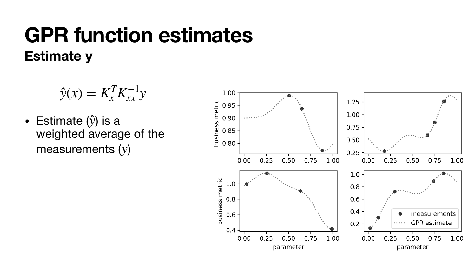• Estimate  $(\hat{y})$  is a weighted average of the measurements (y) ̂



# **Estimate y GPR function estimates**

$$
\hat{y}(x) = K_x^T K_{xx}^{-1} y
$$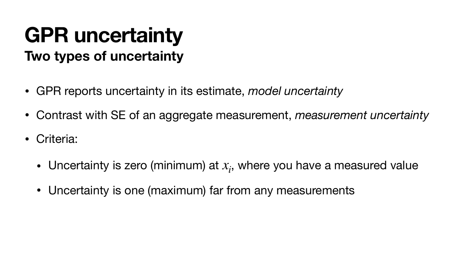# **GPR uncertainty Two types of uncertainty**

- GPR reports uncertainty in its estimate, *model uncertainty*
- Contrast with SE of an aggregate measurement, *measurement uncertainty*
- Criteria:
	- Uncertainty is zero (minimum) at  $x_i$ , where you have a measured value
	- Uncertainty is one (maximum) far from any measurements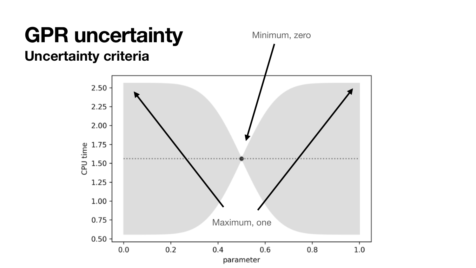### **GPR uncertainty Uncertainty criteria**

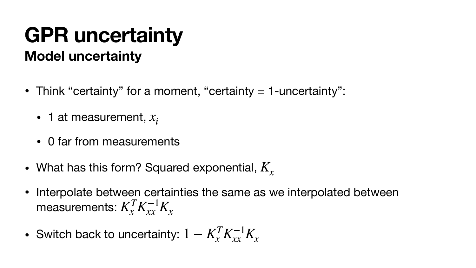# **Model uncertainty GPR uncertainty**

- Think "certainty" for a moment, "certainty = 1-uncertainty":
	- 1 at measurement, *xi*
	- 0 far from measurements
- What has this form? Squared exponential,  $K_{\!\scriptscriptstyle \chi}$
- Interpolate between certainties the same as we interpolated between measurements:  $K_x^T K_{xx}^{-1} K_x$
- Switch back to uncertainty:  $1 K_x^T K_{xx}^{-1} K_x$

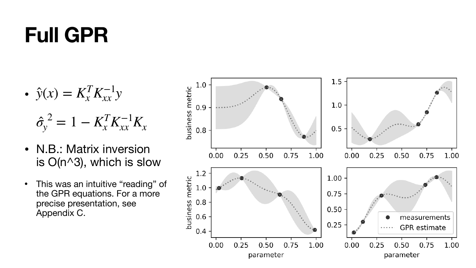# **Full GPR**

- N.B.: Matrix inversion is O(n^3), which is slow
- This was an intuitive "reading" of the GPR equations. For a more precise presentation, see Appendix C.



$$
\bullet \ \ \hat{y}(x) = K_x^T K_{xx}^{-1} y
$$

$$
\hat{\sigma}_y^2 = 1 - K_x^T K_{xx}^{-1} K_x
$$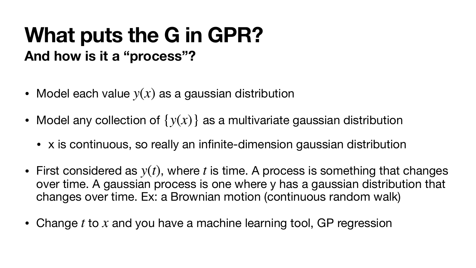#### **What puts the G in GPR? And how is it a "process"?**

- Model each value  $y(x)$  as a gaussian distribution
- Model any collection of  $\{y(x)\}$  as a multivariate gaussian distribution
	- x is continuous, so really an infinite-dimension gaussian distribution
- First considered as  $y(t)$ , where t is time. A process is something that changes over time. A gaussian process is one where y has a gaussian distribution that changes over time. Ex: a Brownian motion (continuous random walk)
- Change  $t$  to  $x$  and you have a machine learning tool, GP regression